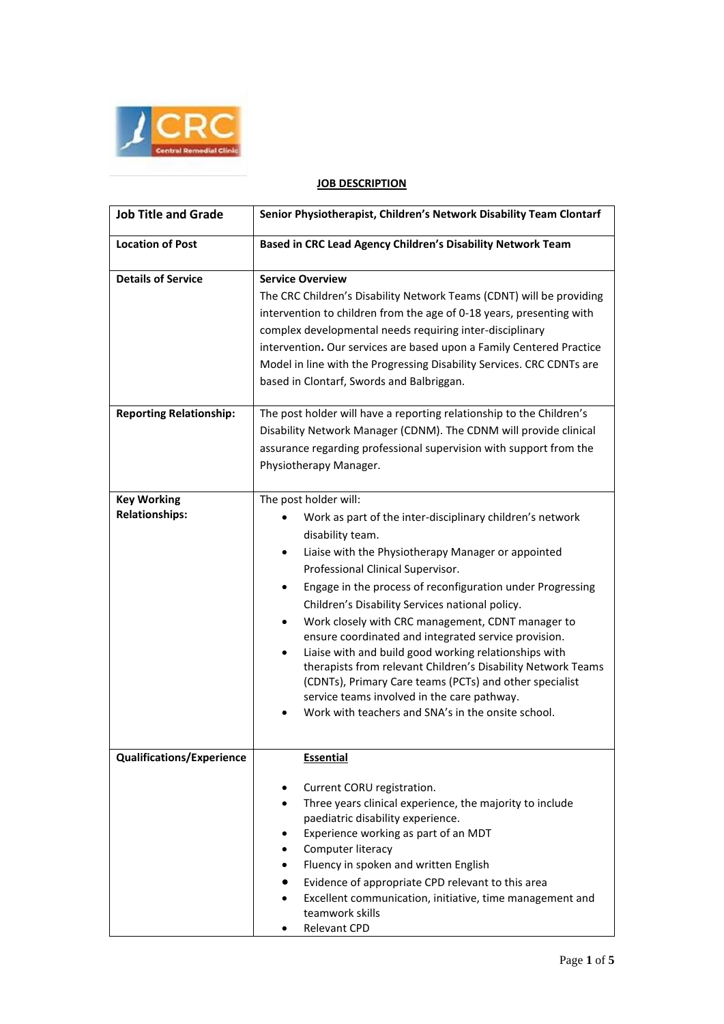

## **JOB DESCRIPTION**

| <b>Job Title and Grade</b>                  | Senior Physiotherapist, Children's Network Disability Team Clontarf                                                                                                                                                                                                                                                                                                                                                                                                                                                                                                                                                                                                                                                                                     |
|---------------------------------------------|---------------------------------------------------------------------------------------------------------------------------------------------------------------------------------------------------------------------------------------------------------------------------------------------------------------------------------------------------------------------------------------------------------------------------------------------------------------------------------------------------------------------------------------------------------------------------------------------------------------------------------------------------------------------------------------------------------------------------------------------------------|
| <b>Location of Post</b>                     | Based in CRC Lead Agency Children's Disability Network Team                                                                                                                                                                                                                                                                                                                                                                                                                                                                                                                                                                                                                                                                                             |
| <b>Details of Service</b>                   | <b>Service Overview</b><br>The CRC Children's Disability Network Teams (CDNT) will be providing<br>intervention to children from the age of 0-18 years, presenting with<br>complex developmental needs requiring inter-disciplinary<br>intervention. Our services are based upon a Family Centered Practice<br>Model in line with the Progressing Disability Services. CRC CDNTs are<br>based in Clontarf, Swords and Balbriggan.                                                                                                                                                                                                                                                                                                                       |
| <b>Reporting Relationship:</b>              | The post holder will have a reporting relationship to the Children's<br>Disability Network Manager (CDNM). The CDNM will provide clinical<br>assurance regarding professional supervision with support from the<br>Physiotherapy Manager.                                                                                                                                                                                                                                                                                                                                                                                                                                                                                                               |
| <b>Key Working</b><br><b>Relationships:</b> | The post holder will:<br>Work as part of the inter-disciplinary children's network<br>disability team.<br>Liaise with the Physiotherapy Manager or appointed<br>$\bullet$<br>Professional Clinical Supervisor.<br>Engage in the process of reconfiguration under Progressing<br>٠<br>Children's Disability Services national policy.<br>Work closely with CRC management, CDNT manager to<br>ensure coordinated and integrated service provision.<br>Liaise with and build good working relationships with<br>$\bullet$<br>therapists from relevant Children's Disability Network Teams<br>(CDNTs), Primary Care teams (PCTs) and other specialist<br>service teams involved in the care pathway.<br>Work with teachers and SNA's in the onsite school. |
| <b>Qualifications/Experience</b>            | <b>Essential</b><br>Current CORU registration.<br>٠<br>Three years clinical experience, the majority to include<br>٠<br>paediatric disability experience.<br>Experience working as part of an MDT<br>Computer literacy<br>Fluency in spoken and written English<br>$\bullet$<br>Evidence of appropriate CPD relevant to this area<br>$\bullet$<br>Excellent communication, initiative, time management and<br>teamwork skills<br>Relevant CPD                                                                                                                                                                                                                                                                                                           |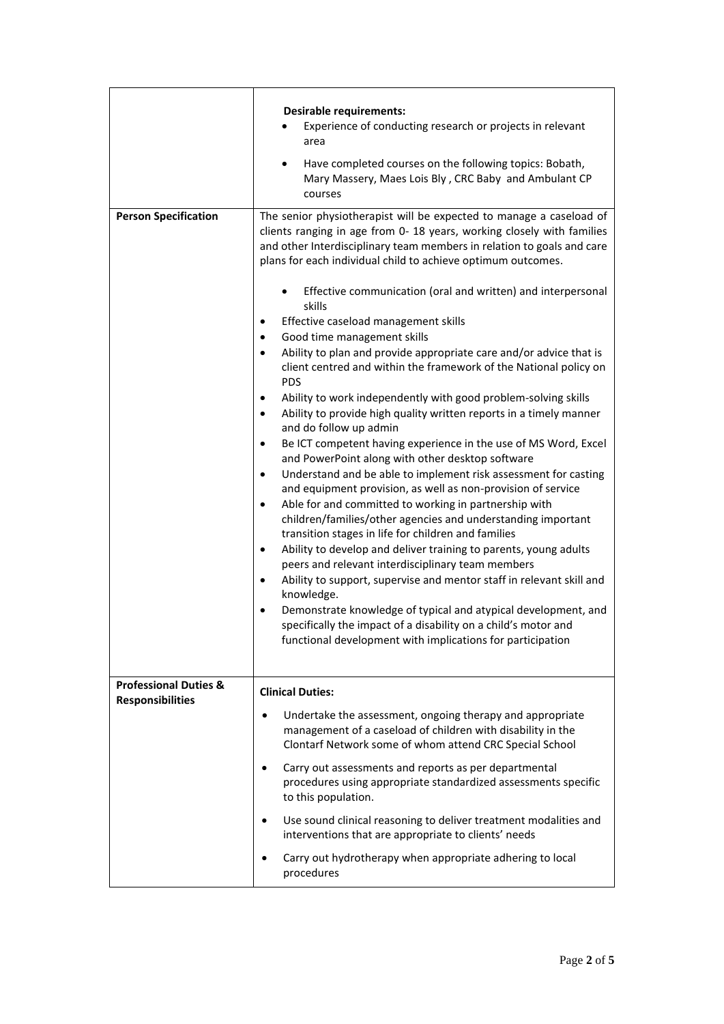| <b>Person Specification</b>      | <b>Desirable requirements:</b><br>Experience of conducting research or projects in relevant<br>area<br>Have completed courses on the following topics: Bobath,<br>Mary Massery, Maes Lois Bly, CRC Baby and Ambulant CP<br>courses<br>The senior physiotherapist will be expected to manage a caseload of<br>clients ranging in age from 0-18 years, working closely with families<br>and other Interdisciplinary team members in relation to goals and care<br>plans for each individual child to achieve optimum outcomes.<br>Effective communication (oral and written) and interpersonal<br>skills<br>Effective caseload management skills<br>Good time management skills<br>٠<br>Ability to plan and provide appropriate care and/or advice that is<br>$\bullet$<br>client centred and within the framework of the National policy on<br><b>PDS</b><br>Ability to work independently with good problem-solving skills<br>$\bullet$<br>Ability to provide high quality written reports in a timely manner<br>$\bullet$<br>and do follow up admin<br>Be ICT competent having experience in the use of MS Word, Excel<br>$\bullet$<br>and PowerPoint along with other desktop software<br>Understand and be able to implement risk assessment for casting<br>$\bullet$<br>and equipment provision, as well as non-provision of service<br>Able for and committed to working in partnership with<br>$\bullet$<br>children/families/other agencies and understanding important<br>transition stages in life for children and families<br>Ability to develop and deliver training to parents, young adults<br>$\bullet$<br>peers and relevant interdisciplinary team members<br>Ability to support, supervise and mentor staff in relevant skill and<br>$\bullet$<br>knowledge.<br>Demonstrate knowledge of typical and atypical development, and<br>$\bullet$ |
|----------------------------------|---------------------------------------------------------------------------------------------------------------------------------------------------------------------------------------------------------------------------------------------------------------------------------------------------------------------------------------------------------------------------------------------------------------------------------------------------------------------------------------------------------------------------------------------------------------------------------------------------------------------------------------------------------------------------------------------------------------------------------------------------------------------------------------------------------------------------------------------------------------------------------------------------------------------------------------------------------------------------------------------------------------------------------------------------------------------------------------------------------------------------------------------------------------------------------------------------------------------------------------------------------------------------------------------------------------------------------------------------------------------------------------------------------------------------------------------------------------------------------------------------------------------------------------------------------------------------------------------------------------------------------------------------------------------------------------------------------------------------------------------------------------------------------------------------------------------------------------------------------------|
|                                  | specifically the impact of a disability on a child's motor and<br>functional development with implications for participation                                                                                                                                                                                                                                                                                                                                                                                                                                                                                                                                                                                                                                                                                                                                                                                                                                                                                                                                                                                                                                                                                                                                                                                                                                                                                                                                                                                                                                                                                                                                                                                                                                                                                                                                  |
| <b>Professional Duties &amp;</b> | <b>Clinical Duties:</b>                                                                                                                                                                                                                                                                                                                                                                                                                                                                                                                                                                                                                                                                                                                                                                                                                                                                                                                                                                                                                                                                                                                                                                                                                                                                                                                                                                                                                                                                                                                                                                                                                                                                                                                                                                                                                                       |
| <b>Responsibilities</b>          | Undertake the assessment, ongoing therapy and appropriate<br>management of a caseload of children with disability in the<br>Clontarf Network some of whom attend CRC Special School                                                                                                                                                                                                                                                                                                                                                                                                                                                                                                                                                                                                                                                                                                                                                                                                                                                                                                                                                                                                                                                                                                                                                                                                                                                                                                                                                                                                                                                                                                                                                                                                                                                                           |
|                                  | Carry out assessments and reports as per departmental<br>procedures using appropriate standardized assessments specific<br>to this population.                                                                                                                                                                                                                                                                                                                                                                                                                                                                                                                                                                                                                                                                                                                                                                                                                                                                                                                                                                                                                                                                                                                                                                                                                                                                                                                                                                                                                                                                                                                                                                                                                                                                                                                |
|                                  | Use sound clinical reasoning to deliver treatment modalities and<br>interventions that are appropriate to clients' needs                                                                                                                                                                                                                                                                                                                                                                                                                                                                                                                                                                                                                                                                                                                                                                                                                                                                                                                                                                                                                                                                                                                                                                                                                                                                                                                                                                                                                                                                                                                                                                                                                                                                                                                                      |
|                                  | Carry out hydrotherapy when appropriate adhering to local<br>procedures                                                                                                                                                                                                                                                                                                                                                                                                                                                                                                                                                                                                                                                                                                                                                                                                                                                                                                                                                                                                                                                                                                                                                                                                                                                                                                                                                                                                                                                                                                                                                                                                                                                                                                                                                                                       |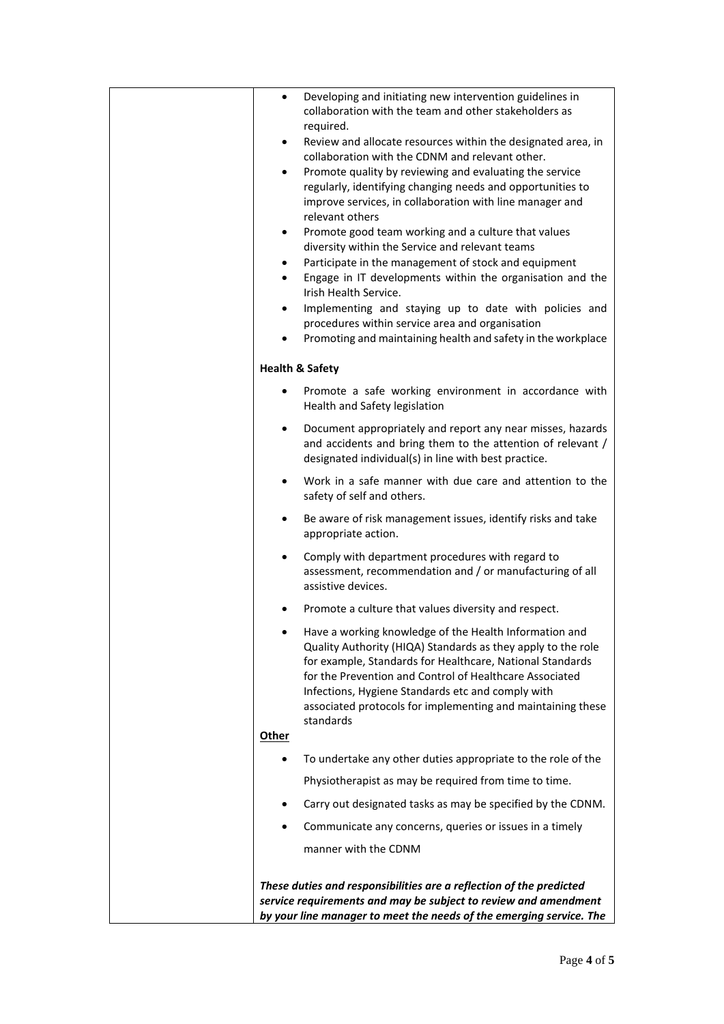| Developing and initiating new intervention guidelines in<br>٠<br>collaboration with the team and other stakeholders as<br>required.                                                                                                                                                                                                                                             |
|---------------------------------------------------------------------------------------------------------------------------------------------------------------------------------------------------------------------------------------------------------------------------------------------------------------------------------------------------------------------------------|
| Review and allocate resources within the designated area, in<br>$\bullet$<br>collaboration with the CDNM and relevant other.                                                                                                                                                                                                                                                    |
| Promote quality by reviewing and evaluating the service<br>$\bullet$<br>regularly, identifying changing needs and opportunities to<br>improve services, in collaboration with line manager and<br>relevant others                                                                                                                                                               |
| Promote good team working and a culture that values<br>$\bullet$<br>diversity within the Service and relevant teams                                                                                                                                                                                                                                                             |
| Participate in the management of stock and equipment<br>$\bullet$                                                                                                                                                                                                                                                                                                               |
| Engage in IT developments within the organisation and the<br>Irish Health Service.                                                                                                                                                                                                                                                                                              |
| Implementing and staying up to date with policies and<br>٠<br>procedures within service area and organisation                                                                                                                                                                                                                                                                   |
| Promoting and maintaining health and safety in the workplace<br>$\bullet$                                                                                                                                                                                                                                                                                                       |
| <b>Health &amp; Safety</b>                                                                                                                                                                                                                                                                                                                                                      |
| Promote a safe working environment in accordance with<br>Health and Safety legislation                                                                                                                                                                                                                                                                                          |
| Document appropriately and report any near misses, hazards<br>$\bullet$<br>and accidents and bring them to the attention of relevant /<br>designated individual(s) in line with best practice.                                                                                                                                                                                  |
| Work in a safe manner with due care and attention to the<br>$\bullet$<br>safety of self and others.                                                                                                                                                                                                                                                                             |
| Be aware of risk management issues, identify risks and take<br>$\bullet$<br>appropriate action.                                                                                                                                                                                                                                                                                 |
| Comply with department procedures with regard to<br>assessment, recommendation and / or manufacturing of all<br>assistive devices.                                                                                                                                                                                                                                              |
| Promote a culture that values diversity and respect.                                                                                                                                                                                                                                                                                                                            |
| Have a working knowledge of the Health Information and<br>Quality Authority (HIQA) Standards as they apply to the role<br>for example, Standards for Healthcare, National Standards<br>for the Prevention and Control of Healthcare Associated<br>Infections, Hygiene Standards etc and comply with<br>associated protocols for implementing and maintaining these<br>standards |
| <b>Other</b>                                                                                                                                                                                                                                                                                                                                                                    |
| To undertake any other duties appropriate to the role of the                                                                                                                                                                                                                                                                                                                    |
| Physiotherapist as may be required from time to time.                                                                                                                                                                                                                                                                                                                           |
| Carry out designated tasks as may be specified by the CDNM.                                                                                                                                                                                                                                                                                                                     |
| Communicate any concerns, queries or issues in a timely                                                                                                                                                                                                                                                                                                                         |
| manner with the CDNM                                                                                                                                                                                                                                                                                                                                                            |
|                                                                                                                                                                                                                                                                                                                                                                                 |
| These duties and responsibilities are a reflection of the predicted<br>service requirements and may be subject to review and amendment                                                                                                                                                                                                                                          |
| by your line manager to meet the needs of the emerging service. The                                                                                                                                                                                                                                                                                                             |